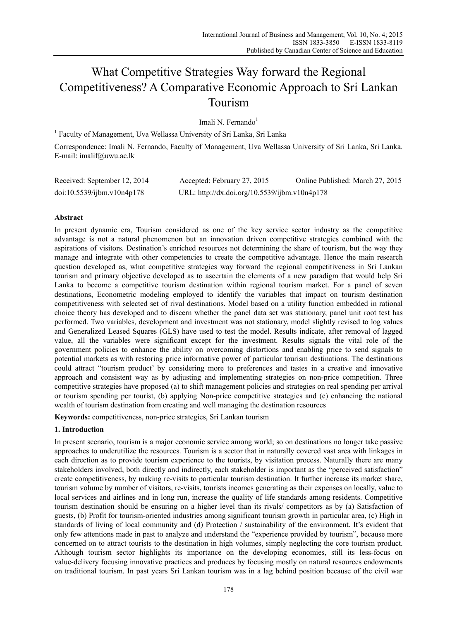# What Competitive Strategies Way forward the Regional Competitiveness? A Comparative Economic Approach to Sri Lankan Tourism

Imali N. Fernando $<sup>1</sup>$ </sup>

<sup>1</sup> Faculty of Management, Uva Wellassa University of Sri Lanka, Sri Lanka

Correspondence: Imali N. Fernando, Faculty of Management, Uva Wellassa University of Sri Lanka, Sri Lanka. E-mail: imalif@uwu.ac.lk

| Received: September 12, 2014 | Accepted: February 27, 2015                   | Online Published: March 27, 2015 |
|------------------------------|-----------------------------------------------|----------------------------------|
| doi:10.5539/ijbm.v10n4p178   | URL: http://dx.doi.org/10.5539/ijbm.v10n4p178 |                                  |

# **Abstract**

In present dynamic era, Tourism considered as one of the key service sector industry as the competitive advantage is not a natural phenomenon but an innovation driven competitive strategies combined with the aspirations of visitors. Destination's enriched resources not determining the share of tourism, but the way they manage and integrate with other competencies to create the competitive advantage. Hence the main research question developed as, what competitive strategies way forward the regional competitiveness in Sri Lankan tourism and primary objective developed as to ascertain the elements of a new paradigm that would help Sri Lanka to become a competitive tourism destination within regional tourism market. For a panel of seven destinations, Econometric modeling employed to identify the variables that impact on tourism destination competitiveness with selected set of rival destinations. Model based on a utility function embedded in rational choice theory has developed and to discern whether the panel data set was stationary, panel unit root test has performed. Two variables, development and investment was not stationary, model slightly revised to log values and Generalized Leased Squares (GLS) have used to test the model. Results indicate, after removal of lagged value, all the variables were significant except for the investment. Results signals the vital role of the government policies to enhance the ability on overcoming distortions and enabling price to send signals to potential markets as with restoring price informative power of particular tourism destinations. The destinations could attract "tourism product' by considering more to preferences and tastes in a creative and innovative approach and consistent way as by adjusting and implementing strategies on non-price competition. Three competitive strategies have proposed (a) to shift management policies and strategies on real spending per arrival or tourism spending per tourist, (b) applying Non-price competitive strategies and (c) enhancing the national wealth of tourism destination from creating and well managing the destination resources

**Keywords:** competitiveness, non-price strategies, Sri Lankan tourism

## **1. Introduction**

In present scenario, tourism is a major economic service among world; so on destinations no longer take passive approaches to underutilize the resources. Tourism is a sector that in naturally covered vast area with linkages in each direction as to provide tourism experience to the tourists, by visitation process. Naturally there are many stakeholders involved, both directly and indirectly, each stakeholder is important as the "perceived satisfaction" create competitiveness, by making re-visits to particular tourism destination. It further increase its market share, tourism volume by number of visitors, re-visits, tourists incomes generating as their expenses on locally, value to local services and airlines and in long run, increase the quality of life standards among residents. Competitive tourism destination should be ensuring on a higher level than its rivals/ competitors as by (a) Satisfaction of guests, (b) Profit for tourism-oriented industries among significant tourism growth in particular area, (c) High in standards of living of local community and (d) Protection / sustainability of the environment. It's evident that only few attentions made in past to analyze and understand the "experience provided by tourism", because more concerned on to attract tourists to the destination in high volumes, simply neglecting the core tourism product. Although tourism sector highlights its importance on the developing economies, still its less-focus on value-delivery focusing innovative practices and produces by focusing mostly on natural resources endowments on traditional tourism. In past years Sri Lankan tourism was in a lag behind position because of the civil war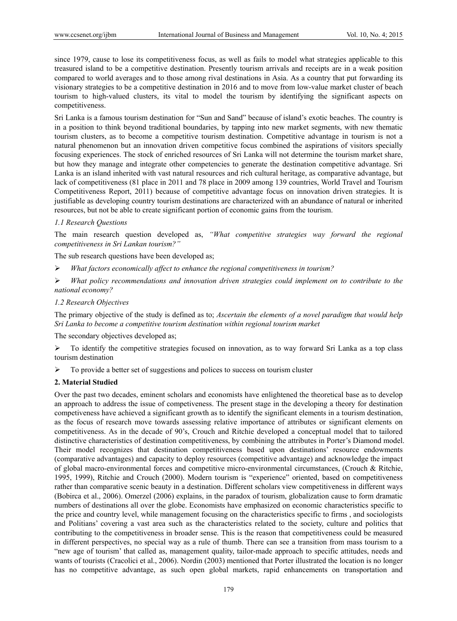since 1979, cause to lose its competitiveness focus, as well as fails to model what strategies applicable to this treasured island to be a competitive destination. Presently tourism arrivals and receipts are in a weak position compared to world averages and to those among rival destinations in Asia. As a country that put forwarding its visionary strategies to be a competitive destination in 2016 and to move from low-value market cluster of beach tourism to high-valued clusters, its vital to model the tourism by identifying the significant aspects on competitiveness.

Sri Lanka is a famous tourism destination for "Sun and Sand" because of island's exotic beaches. The country is in a position to think beyond traditional boundaries, by tapping into new market segments, with new thematic tourism clusters, as to become a competitive tourism destination. Competitive advantage in tourism is not a natural phenomenon but an innovation driven competitive focus combined the aspirations of visitors specially focusing experiences. The stock of enriched resources of Sri Lanka will not determine the tourism market share, but how they manage and integrate other competencies to generate the destination competitive advantage. Sri Lanka is an island inherited with vast natural resources and rich cultural heritage, as comparative advantage, but lack of competitiveness (81 place in 2011 and 78 place in 2009 among 139 countries, World Travel and Tourism Competitiveness Report, 2011) because of competitive advantage focus on innovation driven strategies. It is justifiable as developing country tourism destinations are characterized with an abundance of natural or inherited resources, but not be able to create significant portion of economic gains from the tourism.

#### *1.1 Research Questions*

The main research question developed as, *"What competitive strategies way forward the regional competitiveness in Sri Lankan tourism?"* 

The sub research questions have been developed as;

- *What factors economically affect to enhance the regional competitiveness in tourism?*
- *What policy recommendations and innovation driven strategies could implement on to contribute to the national economy?*

#### *1.2 Research Objectives*

The primary objective of the study is defined as to; *Ascertain the elements of a novel paradigm that would help Sri Lanka to become a competitive tourism destination within regional tourism market* 

The secondary objectives developed as;

 $\triangleright$  To identify the competitive strategies focused on innovation, as to way forward Sri Lanka as a top class tourism destination

 $\triangleright$  To provide a better set of suggestions and polices to success on tourism cluster

#### **2. Material Studied**

Over the past two decades, eminent scholars and economists have enlightened the theoretical base as to develop an approach to address the issue of competiveness. The present stage in the developing a theory for destination competiveness have achieved a significant growth as to identify the significant elements in a tourism destination, as the focus of research move towards assessing relative importance of attributes or significant elements on competitiveness. As in the decade of 90's, Crouch and Ritchie developed a conceptual model that to tailored distinctive characteristics of destination competitiveness, by combining the attributes in Porter's Diamond model. Their model recognizes that destination competitiveness based upon destinations' resource endowments (comparative advantages) and capacity to deploy resources (competitive advantage) and acknowledge the impact of global macro-environmental forces and competitive micro-environmental circumstances, (Crouch & Ritchie, 1995, 1999), Ritchie and Crouch (2000). Modern tourism is "experience" oriented, based on competitiveness rather than comparative scenic beauty in a destination. Different scholars view competitiveness in different ways (Bobirca et al., 2006). Omerzel (2006) explains, in the paradox of tourism, globalization cause to form dramatic numbers of destinations all over the globe. Economists have emphasized on economic characteristics specific to the price and country level, while management focusing on the characteristics specific to firms , and sociologists and Politians' covering a vast area such as the characteristics related to the society, culture and politics that contributing to the competitiveness in broader sense. This is the reason that competitiveness could be measured in different perspectives, no special way as a rule of thumb. There can see a transition from mass tourism to a "new age of tourism' that called as, management quality, tailor-made approach to specific attitudes, needs and wants of tourists (Cracolici et al., 2006). Nordin (2003) mentioned that Porter illustrated the location is no longer has no competitive advantage, as such open global markets, rapid enhancements on transportation and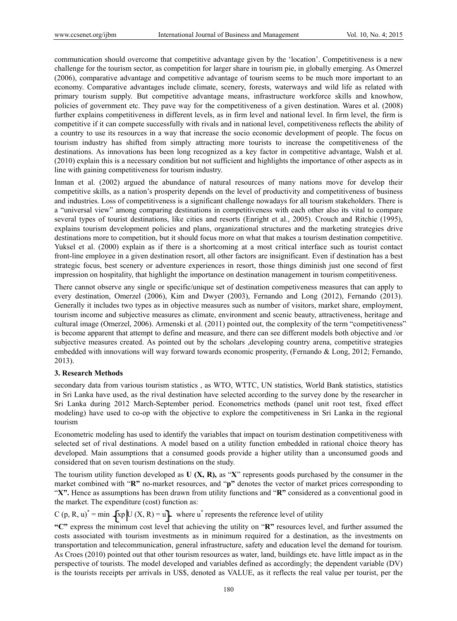communication should overcome that competitive advantage given by the 'location'. Competitiveness is a new challenge for the tourism sector, as competition for larger share in tourism pie, in globally emerging. As Omerzel (2006), comparative advantage and competitive advantage of tourism seems to be much more important to an economy. Comparative advantages include climate, scenery, forests, waterways and wild life as related with primary tourism supply. But competitive advantage means, infrastructure workforce skills and knowhow, policies of government etc. They pave way for the competitiveness of a given destination. Wares et al. (2008) further explains competitiveness in different levels, as in firm level and national level. In firm level, the firm is competitive if it can compete successfully with rivals and in national level, competitiveness reflects the ability of a country to use its resources in a way that increase the socio economic development of people. The focus on tourism industry has shifted from simply attracting more tourists to increase the competitiveness of the destinations. As innovations has been long recognized as a key factor in competitive advantage, Walsh et al. (2010) explain this is a necessary condition but not sufficient and highlights the importance of other aspects as in line with gaining competitiveness for tourism industry.

Inman et al. (2002) argued the abundance of natural resources of many nations move for develop their competitive skills, as a nation's prosperity depends on the level of productivity and competitiveness of business and industries. Loss of competitiveness is a significant challenge nowadays for all tourism stakeholders. There is a "universal view" among comparing destinations in competitiveness with each other also its vital to compare several types of tourist destinations, like cities and resorts (Enright et al., 2005). Crouch and Ritchie (1995), explains tourism development policies and plans, organizational structures and the marketing strategies drive destinations more to competition, but it should focus more on what that makes a tourism destination competitive. Yuksel et al. (2000) explain as if there is a shortcoming at a most critical interface such as tourist contact front-line employee in a given destination resort, all other factors are insignificant. Even if destination has a best strategic focus, best scenery or adventure experiences in resort, those things diminish just one second of first impression on hospitality, that highlight the importance on destination management in tourism competitiveness.

There cannot observe any single or specific/unique set of destination competiveness measures that can apply to every destination, Omerzel (2006), Kim and Dwyer (2003), Fernando and Long (2012), Fernando (2013). Generally it includes two types as in objective measures such as number of visitors, market share, employment, tourism income and subjective measures as climate, environment and scenic beauty, attractiveness, heritage and cultural image (Omerzel, 2006). Armenski et al. (2011) pointed out, the complexity of the term "competitiveness" is become apparent that attempt to define and measure, and there can see different models both objective and /or subjective measures created. As pointed out by the scholars ,developing country arena, competitive strategies embedded with innovations will way forward towards economic prosperity, (Fernando & Long, 2012; Fernando, 2013).

## **3. Research Methods**

secondary data from various tourism statistics , as WTO, WTTC, UN statistics, World Bank statistics, statistics in Sri Lanka have used, as the rival destination have selected according to the survey done by the researcher in Sri Lanka during 2012 March-September period. Econometrics methods (panel unit root test, fixed effect modeling) have used to co-op with the objective to explore the competitiveness in Sri Lanka in the regional tourism

Econometric modeling has used to identify the variables that impact on tourism destination competitiveness with selected set of rival destinations. A model based on a utility function embedded in rational choice theory has developed. Main assumptions that a consumed goods provide a higher utility than a unconsumed goods and considered that on seven tourism destinations on the study.

The tourism utility function developed as **U (X, R),** as "**X**" represents goods purchased by the consumer in the market combined with "**R"** no-market resources, and "**p"** denotes the vector of market prices corresponding to "**X".** Hence as assumptions has been drawn from utility functions and "**R"** considered as a conventional good in the market. The expenditure (cost) function as:

C (p, R, u)<sup>\*</sup> = min  $\oint x$ p U (X, R) = u $\oint$  where u<sup>\*</sup> represents the reference level of utility

**"C"** express the minimum cost level that achieving the utility on "**R"** resources level, and further assumed the costs associated with tourism investments as in minimum required for a destination, as the investments on transportation and telecommunication, general infrastructure, safety and education level the demand for tourism. As Croes (2010) pointed out that other tourism resources as water, land, buildings etc. have little impact as in the perspective of tourists. The model developed and variables defined as accordingly; the dependent variable (DV) is the tourists receipts per arrivals in US\$, denoted as VALUE, as it reflects the real value per tourist, per the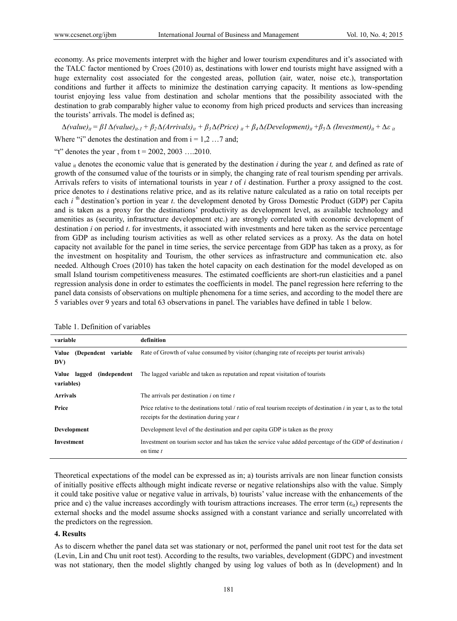economy. As price movements interpret with the higher and lower tourism expenditures and it's associated with the TALC factor mentioned by Croes (2010) as, destinations with lower end tourists might have assigned with a huge externality cost associated for the congested areas, pollution (air, water, noise etc.), transportation conditions and further it affects to minimize the destination carrying capacity. It mentions as low-spending tourist enjoying less value from destination and scholar mentions that the possibility associated with the destination to grab comparably higher value to economy from high priced products and services than increasing the tourists' arrivals. The model is defined as;

 $\Delta (value)_{it} = \beta I \Delta (value)_{it-l} + \beta_2 \Delta (Arrivals)_{it} + \beta_3 \Delta (Price)_{it} + \beta_4 \Delta (Development)_{it} + \beta_5 \Delta (Investment)_{it} + \Delta \varepsilon_{it}$ Where "i" denotes the destination and from  $i = 1, 2, \ldots, 7$  and;

"t" denotes the year, from  $t = 2002, 2003$  ....2010.

value  $\alpha$  denotes the economic value that is generated by the destination *i* during the year *t*, and defined as rate of growth of the consumed value of the tourists or in simply, the changing rate of real tourism spending per arrivals. Arrivals refers to visits of international tourists in year *t* of *i* destination. Further a proxy assigned to the cost. price denotes to *i* destinations relative price, and as its relative nature calculated as a ratio on total receipts per each *i* th destination's portion in year *t*. the development denoted by Gross Domestic Product (GDP) per Capita and is taken as a proxy for the destinations' productivity as development level, as available technology and amenities as (security, infrastructure development etc.) are strongly correlated with economic development of destination *i* on period *t*. for investments, it associated with investments and here taken as the service percentage from GDP as including tourism activities as well as other related services as a proxy. As the data on hotel capacity not available for the panel in time series, the service percentage from GDP has taken as a proxy, as for the investment on hospitality and Tourism, the other services as infrastructure and communication etc. also needed. Although Croes (2010) has taken the hotel capacity on each destination for the model developed as on small Island tourism competitiveness measures. The estimated coefficients are short-run elasticities and a panel regression analysis done in order to estimates the coefficients in model. The panel regression here referring to the panel data consists of observations on multiple phenomena for a time series, and according to the model there are 5 variables over 9 years and total 63 observations in panel. The variables have defined in table 1 below.

| variable                                           | definition                                                                                                                                                          |
|----------------------------------------------------|---------------------------------------------------------------------------------------------------------------------------------------------------------------------|
| (Dependent variable)<br>Value<br>DV)               | Rate of Growth of value consumed by visitor (changing rate of receipts per tourist arrivals)                                                                        |
| <i>(independent)</i><br>Value lagged<br>variables) | The lagged variable and taken as reputation and repeat visitation of tourists                                                                                       |
| <b>Arrivals</b>                                    | The arrivals per destination $i$ on time $t$                                                                                                                        |
| Price                                              | Price relative to the destinations total / ratio of real tourism receipts of destination i in year t, as to the total<br>receipts for the destination during year t |
| Development                                        | Development level of the destination and per capita GDP is taken as the proxy                                                                                       |
| Investment                                         | Investment on tourism sector and has taken the service value added percentage of the GDP of destination i<br>on time $t$                                            |

| Table 1. Definition of variables |  |  |
|----------------------------------|--|--|
|----------------------------------|--|--|

Theoretical expectations of the model can be expressed as in; a) tourists arrivals are non linear function consists of initially positive effects although might indicate reverse or negative relationships also with the value. Simply it could take positive value or negative value in arrivals, b) tourists' value increase with the enhancements of the price and c) the value increases accordingly with tourism attractions increases. The error term  $(\epsilon_{it})$  represents the external shocks and the model assume shocks assigned with a constant variance and serially uncorrelated with the predictors on the regression.

#### **4. Results**

As to discern whether the panel data set was stationary or not, performed the panel unit root test for the data set (Levin, Lin and Chu unit root test). According to the results, two variables, development (GDPC) and investment was not stationary, then the model slightly changed by using log values of both as ln (development) and ln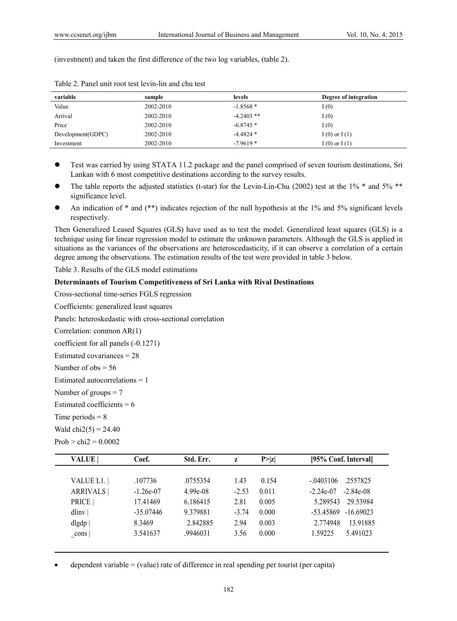(investment) and taken the first difference of the two log variables, (table 2).

| variable           | sample    | levels       | Degree of integration |
|--------------------|-----------|--------------|-----------------------|
| Value              | 2002-2010 | $-1.8568*$   | I(0)                  |
| Arrival            | 2002-2010 | $-4.2403$ ** | I(0)                  |
| Price              | 2002-2010 | $-6.8745*$   | I(0)                  |
| Development (GDPC) | 2002-2010 | $-4.4824*$   | I $(0)$ or I $(1)$    |
| Investment         | 2002-2010 | $-7.9619*$   | I (0) or I (1)        |

Table 2. Panel unit root test levin-lin and chu test

- Test was carried by using STATA 11.2 package and the panel comprised of seven tourism destinations, Sri Lankan with 6 most competitive destinations according to the survey results.
- The table reports the adjusted statistics (t-star) for the Levin-Lin-Chu (2002) test at the  $1\%$  \* and  $5\%$  \*\* significance level.
- An indication of  $*$  and  $(**)$  indicates rejection of the null hypothesis at the 1% and 5% significant levels respectively.

Then Generalized Leased Squares (GLS) have used as to test the model. Generalized least squares (GLS) is a technique using for linear regression model to estimate the unknown parameters. Although the GLS is applied in situations as the variances of the observations are heteroscedasticity, if it can observe a correlation of a certain degree among the observations. The estimation results of the test were provided in table 3 below.

Table 3. Results of the GLS model estimations

# **Determinants of Tourism Competitiveness of Sri Lanka with Rival Destinations**

Cross-sectional time-series FGLS regression

Coefficients: generalized least squares

Panels: heteroskedastic with cross-sectional correlation

Correlation: common AR(1)

coefficient for all panels (-0.1271)

Estimated covariances = 28

Number of  $obs = 56$ 

Estimated autocorrelations = 1

Number of groups = 7

Estimated coefficients  $= 6$ 

Time periods  $= 8$ 

Wald  $chi2(5) = 24.40$ 

 $Prob > chi2 = 0.0002$ 

| <b>VALUE</b> I  | Coef.       | Std. Err.  | Z       | P >  z | [95% Conf. Interval]       |
|-----------------|-------------|------------|---------|--------|----------------------------|
|                 |             |            |         |        |                            |
| VALUE L1.       | .107736     | .0755354   | 1.43    | 0.154  | .2557825<br>$-0403106$     |
| <b>ARRIVALS</b> | $-1.26e-07$ | $4.99e-08$ | $-2.53$ | 0.011  | $-2.24e-07$<br>$-2.84e-08$ |
| PRICE           | 17.41469    | 6.186415   | 2.81    | 0.005  | 29.53984<br>5.289543       |
| dliny $ $       | $-35.07446$ | 9.379881   | $-3.74$ | 0.000  | $-16.69023$<br>-53.45869   |
| dlgdp           | 8.3469      | 2.842885   | 2.94    | 0.003  | 13 91885<br>2.774948       |
| cons            | 3.541637    | .9946031   | 3.56    | 0.000  | 1.59225<br>5.491023        |

dependent variable  $=$  (value) rate of difference in real spending per tourist (per capita)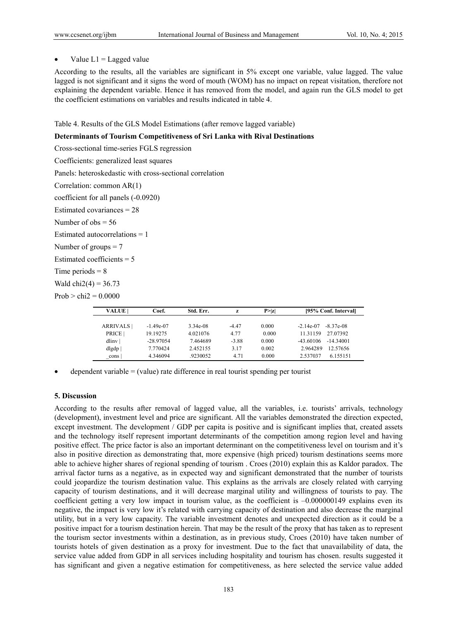#### Value  $L1 =$  Lagged value

According to the results, all the variables are significant in 5% except one variable, value lagged. The value lagged is not significant and it signs the word of mouth (WOM) has no impact on repeat visitation, therefore not explaining the dependent variable. Hence it has removed from the model, and again run the GLS model to get the coefficient estimations on variables and results indicated in table 4.

Table 4. Results of the GLS Model Estimations (after remove lagged variable)

# **Determinants of Tourism Competitiveness of Sri Lanka with Rival Destinations**

Cross-sectional time-series FGLS regression

Coefficients: generalized least squares

Panels: heteroskedastic with cross-sectional correlation

Correlation: common AR(1)

coefficient for all panels (-0.0920)

Estimated covariances = 28

Number of  $obs = 56$ 

Estimated autocorrelations = 1

Number of groups = 7

Estimated coefficients = 5

Time periods  $= 8$ 

Wald  $chi2(4) = 36.73$ 

 $Prob > chi2 = 0.0000$ 

| <b>VALUE</b>    | Coef.       | Std. Err. | z       | P >  z | [95% Conf. Interval]       |
|-----------------|-------------|-----------|---------|--------|----------------------------|
|                 |             |           |         |        |                            |
| <b>ARRIVALS</b> | $-1.49e-07$ | 3.34e-08  | $-4.47$ | 0.000  | $-8.37e-08$<br>$-2.14e-07$ |
| PRICE           | 19.19275    | 4.021076  | 4.77    | 0.000  | 27.07392<br>11.31159       |
| dliny           | $-28.97054$ | 7.464689  | $-3.88$ | 0.000  | $-1434001$<br>$-43.60106$  |
| dlgdp           | 7.770424    | 2.452155  | 3.17    | 0.002  | 2.964289<br>12.57656       |
| cons            | 4.346094    | .9230052  | 4.71    | 0.000  | 2.537037<br>6.155151       |

 $\bullet$  dependent variable = (value) rate difference in real tourist spending per tourist

# **5. Discussion**

According to the results after removal of lagged value, all the variables, i.e. tourists' arrivals, technology (development), investment level and price are significant. All the variables demonstrated the direction expected, except investment. The development / GDP per capita is positive and is significant implies that, created assets and the technology itself represent important determinants of the competition among region level and having positive effect. The price factor is also an important determinant on the competitiveness level on tourism and it's also in positive direction as demonstrating that, more expensive (high priced) tourism destinations seems more able to achieve higher shares of regional spending of tourism . Croes (2010) explain this as Kaldor paradox. The arrival factor turns as a negative, as in expected way and significant demonstrated that the number of tourists could jeopardize the tourism destination value. This explains as the arrivals are closely related with carrying capacity of tourism destinations, and it will decrease marginal utility and willingness of tourists to pay. The coefficient getting a very low impact in tourism value, as the coefficient is –0.000000149 explains even its negative, the impact is very low it's related with carrying capacity of destination and also decrease the marginal utility, but in a very low capacity. The variable investment denotes and unexpected direction as it could be a positive impact for a tourism destination herein. That may be the result of the proxy that has taken as to represent the tourism sector investments within a destination, as in previous study, Croes (2010) have taken number of tourists hotels of given destination as a proxy for investment. Due to the fact that unavailability of data, the service value added from GDP in all services including hospitality and tourism has chosen. results suggested it has significant and given a negative estimation for competitiveness, as here selected the service value added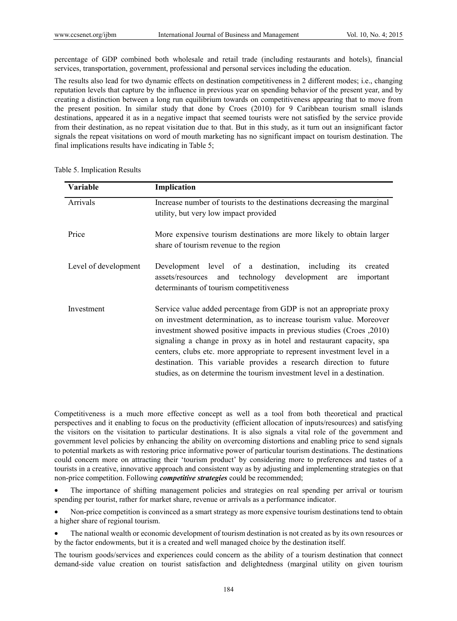percentage of GDP combined both wholesale and retail trade (including restaurants and hotels), financial services, transportation, government, professional and personal services including the education.

The results also lead for two dynamic effects on destination competitiveness in 2 different modes; i.e., changing reputation levels that capture by the influence in previous year on spending behavior of the present year, and by creating a distinction between a long run equilibrium towards on competitiveness appearing that to move from the present position. In similar study that done by Croes (2010) for 9 Caribbean tourism small islands destinations, appeared it as in a negative impact that seemed tourists were not satisfied by the service provide from their destination, as no repeat visitation due to that. But in this study, as it turn out an insignificant factor signals the repeat visitations on word of mouth marketing has no significant impact on tourism destination. The final implications results have indicating in Table 5;

Table 5. Implication Results

| Variable             | Implication                                                                                                                                                                                                                                                                                                                                                                                                                                                                                                             |
|----------------------|-------------------------------------------------------------------------------------------------------------------------------------------------------------------------------------------------------------------------------------------------------------------------------------------------------------------------------------------------------------------------------------------------------------------------------------------------------------------------------------------------------------------------|
| Arrivals             | Increase number of tourists to the destinations decreasing the marginal<br>utility, but very low impact provided                                                                                                                                                                                                                                                                                                                                                                                                        |
| Price                | More expensive tourism destinations are more likely to obtain larger<br>share of tourism revenue to the region                                                                                                                                                                                                                                                                                                                                                                                                          |
| Level of development | Development level of a destination, including<br>its<br>created<br>assets/resources and technology development are<br>important<br>determinants of tourism competitiveness                                                                                                                                                                                                                                                                                                                                              |
| Investment           | Service value added percentage from GDP is not an appropriate proxy<br>on investment determination, as to increase tourism value. Moreover<br>investment showed positive impacts in previous studies (Croes , 2010)<br>signaling a change in proxy as in hotel and restaurant capacity, spa<br>centers, clubs etc. more appropriate to represent investment level in a<br>destination. This variable provides a research direction to future<br>studies, as on determine the tourism investment level in a destination. |

Competitiveness is a much more effective concept as well as a tool from both theoretical and practical perspectives and it enabling to focus on the productivity (efficient allocation of inputs/resources) and satisfying the visitors on the visitation to particular destinations. It is also signals a vital role of the government and government level policies by enhancing the ability on overcoming distortions and enabling price to send signals to potential markets as with restoring price informative power of particular tourism destinations. The destinations could concern more on attracting their 'tourism product' by considering more to preferences and tastes of a tourists in a creative, innovative approach and consistent way as by adjusting and implementing strategies on that non-price competition. Following *competitive strategies* could be recommended;

 The importance of shifting management policies and strategies on real spending per arrival or tourism spending per tourist, rather for market share, revenue or arrivals as a performance indicator.

 Non-price competition is convinced as a smart strategy as more expensive tourism destinations tend to obtain a higher share of regional tourism.

 The national wealth or economic development of tourism destination is not created as by its own resources or by the factor endowments, but it is a created and well managed choice by the destination itself.

The tourism goods/services and experiences could concern as the ability of a tourism destination that connect demand-side value creation on tourist satisfaction and delightedness (marginal utility on given tourism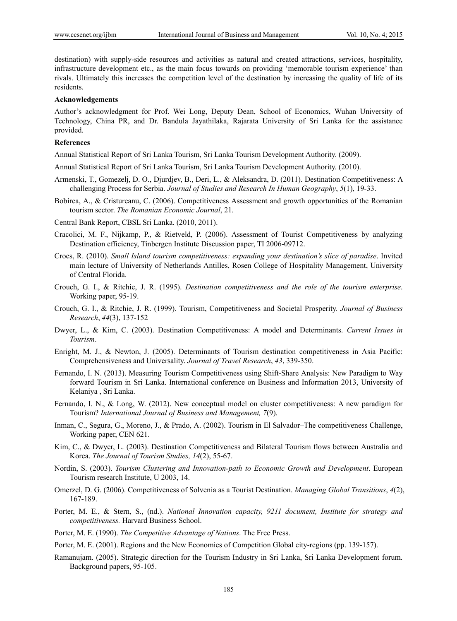destination) with supply-side resources and activities as natural and created attractions, services, hospitality, infrastructure development etc., as the main focus towards on providing 'memorable tourism experience' than rivals. Ultimately this increases the competition level of the destination by increasing the quality of life of its residents.

#### **Acknowledgements**

Author's acknowledgment for Prof. Wei Long, Deputy Dean, School of Economics, Wuhan University of Technology, China PR, and Dr. Bandula Jayathilaka, Rajarata University of Sri Lanka for the assistance provided.

#### **References**

Annual Statistical Report of Sri Lanka Tourism, Sri Lanka Tourism Development Authority. (2009).

Annual Statistical Report of Sri Lanka Tourism, Sri Lanka Tourism Development Authority. (2010).

- Armenski, T., Gomezelj, D. O., Djurdjev, B., Deri, L., & Aleksandra, D. (2011). Destination Competitiveness: A challenging Process for Serbia. *Journal of Studies and Research In Human Geography*, *5*(1), 19-33.
- Bobirca, A., & Cristureanu, C. (2006). Competitiveness Assessment and growth opportunities of the Romanian tourism sector. *The Romanian Economic Journal*, 21.
- Central Bank Report, CBSL Sri Lanka. (2010, 2011).
- Cracolici, M. F., Nijkamp, P., & Rietveld, P. (2006). Assessment of Tourist Competitiveness by analyzing Destination efficiency, Tinbergen Institute Discussion paper, TI 2006-09712.
- Croes, R. (2010). *Small Island tourism competitiveness: expanding your destination's slice of paradise*. Invited main lecture of University of Netherlands Antilles, Rosen College of Hospitality Management, University of Central Florida.
- Crouch, G. I., & Ritchie, J. R. (1995). *Destination competitiveness and the role of the tourism enterprise*. Working paper, 95-19.
- Crouch, G. I., & Ritchie, J. R. (1999). Tourism, Competitiveness and Societal Prosperity. *Journal of Business Research*, *44*(3), 137-152
- Dwyer, L., & Kim, C. (2003). Destination Competitiveness: A model and Determinants. *Current Issues in Tourism*.
- Enright, M. J., & Newton, J. (2005). Determinants of Tourism destination competitiveness in Asia Pacific: Comprehensiveness and Universality. *Journal of Travel Research*, *43*, 339-350.
- Fernando, I. N. (2013). Measuring Tourism Competitiveness using Shift-Share Analysis: New Paradigm to Way forward Tourism in Sri Lanka. International conference on Business and Information 2013, University of Kelaniya , Sri Lanka.
- Fernando, I. N., & Long, W. (2012). New conceptual model on cluster competitiveness: A new paradigm for Tourism? *International Journal of Business and Management, 7*(9).
- Inman, C., Segura, G., Moreno, J., & Prado, A. (2002). Tourism in El Salvador–The competitiveness Challenge, Working paper, CEN 621.
- Kim, C., & Dwyer, L. (2003). Destination Competitiveness and Bilateral Tourism flows between Australia and Korea. *The Journal of Tourism Studies, 14*(2), 55-67.
- Nordin, S. (2003). *Tourism Clustering and Innovation-path to Economic Growth and Development*. European Tourism research Institute, U 2003, 14.
- Omerzel, D. G. (2006). Competitiveness of Solvenia as a Tourist Destination. *Managing Global Transitions*, *4*(2), 167-189.
- Porter, M. E., & Stern, S., (nd.). *National Innovation capacity, 9211 document, Institute for strategy and competitiveness.* Harvard Business School.
- Porter, M. E. (1990). *The Competitive Advantage of Nations*. The Free Press.
- Porter, M. E. (2001). Regions and the New Economies of Competition Global city-regions (pp. 139-157).
- Ramanujam. (2005). Strategic direction for the Tourism Industry in Sri Lanka, Sri Lanka Development forum. Background papers, 95-105.